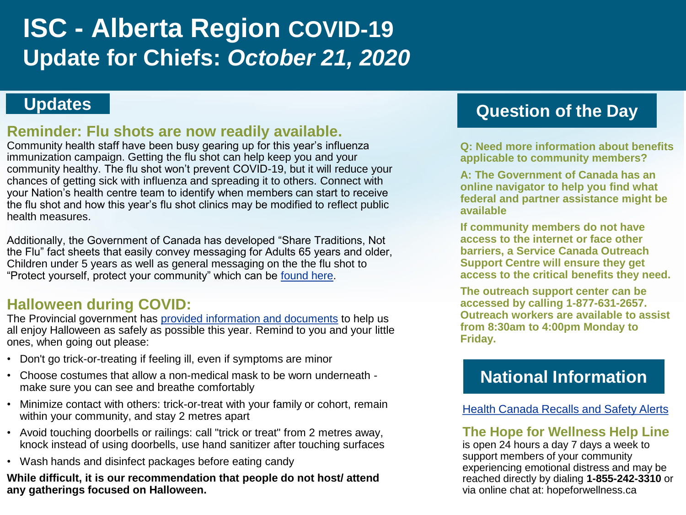# **ISC - Alberta Region COVID-19 Update for Chiefs:** *October 21, 2020*

#### **Reminder: Flu shots are now readily available.**

Community health staff have been busy gearing up for this year's influenza immunization campaign. Getting the flu shot can help keep you and your community healthy. The flu shot won't prevent COVID-19, but it will reduce your chances of getting sick with influenza and spreading it to others. Connect with your Nation's health centre team to identify when members can start to receive the flu shot and how this year's flu shot clinics may be modified to reflect public health measures.

Additionally, the Government of Canada has developed "Share Traditions, Not the Flu" fact sheets that easily convey messaging for Adults 65 years and older, Children under 5 years as well as general messaging on the the flu shot to "Protect yourself, protect your community" which can be [found here.](https://www.sac-isc.gc.ca/eng/1570037443226/1570037485313)

### **Halloween during COVID:**

The Provincial government has [provided information and documents](https://www.alberta.ca/halloween-during-covid19.aspx) to help us all enjoy Halloween as safely as possible this year. Remind to you and your little ones, when going out please:

- Don't go trick-or-treating if feeling ill, even if symptoms are minor
- Choose costumes that allow a non-medical mask to be worn underneath make sure you can see and breathe comfortably
- Minimize contact with others: trick-or-treat with your family or cohort, remain within your community, and stay 2 metres apart
- Avoid touching doorbells or railings: call "trick or treat" from 2 metres away, knock instead of using doorbells, use hand sanitizer after touching surfaces
- Wash hands and disinfect packages before eating candy

**While difficult, it is our recommendation that people do not host/ attend any gatherings focused on Halloween.** 

# **Updates Question of the Day**

**Q: Need more information about benefits applicable to community members?** 

**A: The Government of Canada has an online navigator to help you find what federal and partner assistance might be available** 

**If community members do not have access to the internet or face other barriers, a Service Canada Outreach Support Centre will ensure they get access to the critical benefits they need.** 

**The outreach support center can be accessed by calling 1-877-631-2657. Outreach workers are available to assist from 8:30am to 4:00pm Monday to Friday.**

# **National Information**

[Health Canada Recalls and Safety Alerts](https://healthycanadians.gc.ca/recall-alert-rappel-avis/index-eng.php?cat=3)

#### **The Hope for Wellness Help Line**

is open 24 hours a day 7 days a week to support members of your community experiencing emotional distress and may be reached directly by dialing **1-855-242-3310** or via online chat at: hopeforwellness.ca